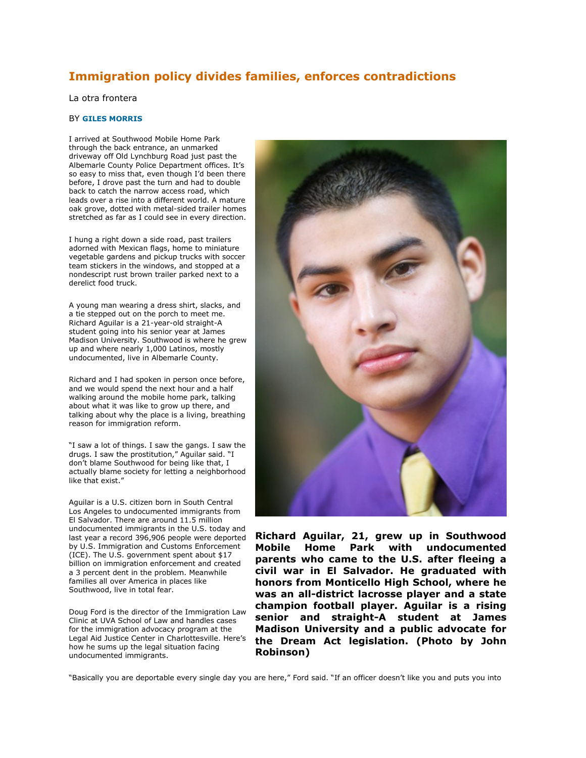### **Immigration policy divides families, enforces contradictions**

#### La otra frontera

### BY **GILES MORRIS**

I arrived at Southwood Mobile Home Park through the back entrance, an unmarked driveway off Old Lynchburg Road just past the Albemarle County Police Department offices. It's so easy to miss that, even though I'd been there before, I drove past the turn and had to double back to catch the narrow access road, which leads over a rise into a different world. A mature oak grove, dotted with metal-sided trailer homes stretched as far as I could see in every direction.

I hung a right down a side road, past trailers adorned with Mexican flags, home to miniature vegetable gardens and pickup trucks with soccer team stickers in the windows, and stopped at a nondescript rust brown trailer parked next to a derelict food truck.

A young man wearing a dress shirt, slacks, and a tie stepped out on the porch to meet me. Richard Aguilar is a 21-year-old straight-A student going into his senior year at James Madison University. Southwood is where he grew up and where nearly 1,000 Latinos, mostly undocumented, live in Albemarle County.

Richard and I had spoken in person once before, and we would spend the next hour and a half walking around the mobile home park, talking about what it was like to grow up there, and talking about why the place is a living, breathing reason for immigration reform.

"I saw a lot of things. I saw the gangs. I saw the drugs. I saw the prostitution," Aguilar said. "I don't blame Southwood for being like that, I actually blame society for letting a neighborhood like that exist."

Aguilar is a U.S. citizen born in South Central Los Angeles to undocumented immigrants from El Salvador. There are around 11.5 million undocumented immigrants in the U.S. today and last year a record 396,906 people were deported by U.S. Immigration and Customs Enforcement (ICE). The U.S. government spent about \$17 billion on immigration enforcement and created a 3 percent dent in the problem. Meanwhile families all over America in places like Southwood, live in total fear.

Doug Ford is the director of the Immigration Law Clinic at UVA School of Law and handles cases for the immigration advocacy program at the Legal Aid Justice Center in Charlottesville. Here's how he sums up the legal situation facing undocumented immigrants.



**Richard Aguilar, 21, grew up in Southwood Mobile Home Park with undocumented parents who came to the U.S. after fleeing a civil war in El Salvador. He graduated with honors from Monticello High School, where he was an all-district lacrosse player and a state champion football player. Aguilar is a rising senior and straight-A student at James Madison University and a public advocate for the Dream Act legislation. (Photo by John Robinson)**

"Basically you are deportable every single day you are here," Ford said. "If an officer doesn't like you and puts you into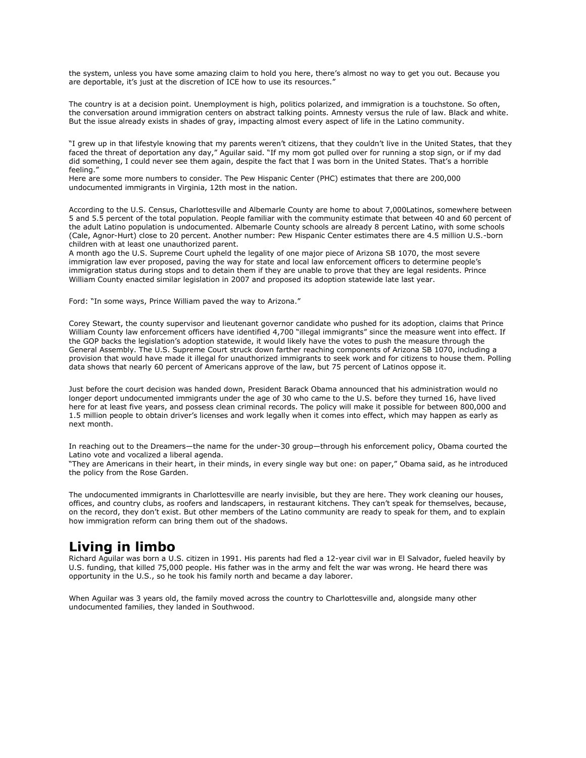the system, unless you have some amazing claim to hold you here, there's almost no way to get you out. Because you are deportable, it's just at the discretion of ICE how to use its resources."

The country is at a decision point. Unemployment is high, politics polarized, and immigration is a touchstone. So often, the conversation around immigration centers on abstract talking points. Amnesty versus the rule of law. Black and white. But the issue already exists in shades of gray, impacting almost every aspect of life in the Latino community.

"I grew up in that lifestyle knowing that my parents weren't citizens, that they couldn't live in the United States, that they faced the threat of deportation any day," Aguilar said. "If my mom got pulled over for running a stop sign, or if my dad did something, I could never see them again, despite the fact that I was born in the United States. That's a horrible feeling."

Here are some more numbers to consider. The Pew Hispanic Center (PHC) estimates that there are 200,000 undocumented immigrants in Virginia, 12th most in the nation.

According to the U.S. Census, Charlottesville and Albemarle County are home to about 7,000Latinos, somewhere between 5 and 5.5 percent of the total population. People familiar with the community estimate that between 40 and 60 percent of the adult Latino population is undocumented. Albemarle County schools are already 8 percent Latino, with some schools (Cale, Agnor-Hurt) close to 20 percent. Another number: Pew Hispanic Center estimates there are 4.5 million U.S.-born children with at least one unauthorized parent.

A month ago the U.S. Supreme Court upheld the legality of one major piece of Arizona SB 1070, the most severe immigration law ever proposed, paving the way for state and local law enforcement officers to determine people's immigration status during stops and to detain them if they are unable to prove that they are legal residents. Prince William County enacted similar legislation in 2007 and proposed its adoption statewide late last year.

Ford: "In some ways, Prince William paved the way to Arizona."

Corey Stewart, the county supervisor and lieutenant governor candidate who pushed for its adoption, claims that Prince William County law enforcement officers have identified 4,700 "illegal immigrants" since the measure went into effect. If the GOP backs the legislation's adoption statewide, it would likely have the votes to push the measure through the General Assembly. The U.S. Supreme Court struck down farther reaching components of Arizona SB 1070, including a provision that would have made it illegal for unauthorized immigrants to seek work and for citizens to house them. Polling data shows that nearly 60 percent of Americans approve of the law, but 75 percent of Latinos oppose it.

Just before the court decision was handed down, President Barack Obama announced that his administration would no longer deport undocumented immigrants under the age of 30 who came to the U.S. before they turned 16, have lived here for at least five years, and possess clean criminal records. The policy will make it possible for between 800,000 and 1.5 million people to obtain driver's licenses and work legally when it comes into effect, which may happen as early as next month.

In reaching out to the Dreamers—the name for the under-30 group—through his enforcement policy, Obama courted the Latino vote and vocalized a liberal agenda.

"They are Americans in their heart, in their minds, in every single way but one: on paper," Obama said, as he introduced the policy from the Rose Garden.

The undocumented immigrants in Charlottesville are nearly invisible, but they are here. They work cleaning our houses, offices, and country clubs, as roofers and landscapers, in restaurant kitchens. They can't speak for themselves, because, on the record, they don't exist. But other members of the Latino community are ready to speak for them, and to explain how immigration reform can bring them out of the shadows.

# **Living in limbo**

Richard Aguilar was born a U.S. citizen in 1991. His parents had fled a 12-year civil war in El Salvador, fueled heavily by U.S. funding, that killed 75,000 people. His father was in the army and felt the war was wrong. He heard there was opportunity in the U.S., so he took his family north and became a day laborer.

When Aguilar was 3 years old, the family moved across the country to Charlottesville and, alongside many other undocumented families, they landed in Southwood.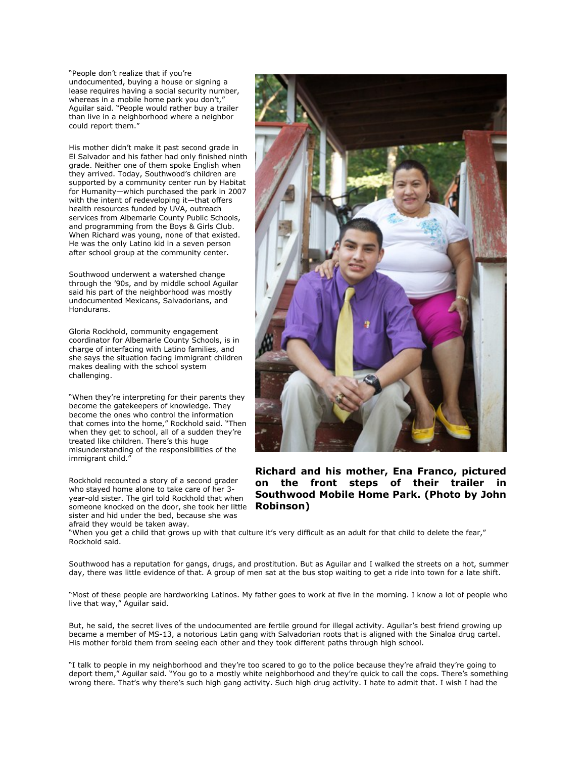"People don't realize that if you're undocumented, buying a house or signing a lease requires having a social security number, whereas in a mobile home park you don't," Aguilar said. "People would rather buy a trailer than live in a neighborhood where a neighbor could report them."

His mother didn't make it past second grade in El Salvador and his father had only finished ninth grade. Neither one of them spoke English when they arrived. Today, Southwood's children are supported by a community center run by Habitat for Humanity—which purchased the park in 2007 with the intent of redeveloping it—that offers health resources funded by UVA, outreach services from Albemarle County Public Schools, and programming from the Boys & Girls Club. When Richard was young, none of that existed. He was the only Latino kid in a seven person after school group at the community center.

Southwood underwent a watershed change through the '90s, and by middle school Aguilar said his part of the neighborhood was mostly undocumented Mexicans, Salvadorians, and Hondurans.

Gloria Rockhold, community engagement coordinator for Albemarle County Schools, is in charge of interfacing with Latino families, and she says the situation facing immigrant children makes dealing with the school system challenging.

"When they're interpreting for their parents they become the gatekeepers of knowledge. They become the ones who control the information that comes into the home," Rockhold said. "Then when they get to school, all of a sudden they're treated like children. There's this huge misunderstanding of the responsibilities of the immigrant child."

Rockhold recounted a story of a second grader who stayed home alone to take care of her 3 year-old sister. The girl told Rockhold that when someone knocked on the door, she took her little sister and hid under the bed, because she was afraid they would be taken away.



**Richard and his mother, Ena Franco, pictured on the front steps of their trailer in Southwood Mobile Home Park. (Photo by John Robinson)**

"When you get a child that grows up with that culture it's very difficult as an adult for that child to delete the fear," Rockhold said.

Southwood has a reputation for gangs, drugs, and prostitution. But as Aguilar and I walked the streets on a hot, summer day, there was little evidence of that. A group of men sat at the bus stop waiting to get a ride into town for a late shift.

"Most of these people are hardworking Latinos. My father goes to work at five in the morning. I know a lot of people who live that way," Aguilar said.

But, he said, the secret lives of the undocumented are fertile ground for illegal activity. Aguilar's best friend growing up became a member of MS-13, a notorious Latin gang with Salvadorian roots that is aligned with the Sinaloa drug cartel. His mother forbid them from seeing each other and they took different paths through high school.

"I talk to people in my neighborhood and they're too scared to go to the police because they're afraid they're going to deport them," Aguilar said. "You go to a mostly white neighborhood and they're quick to call the cops. There's something wrong there. That's why there's such high gang activity. Such high drug activity. I hate to admit that. I wish I had the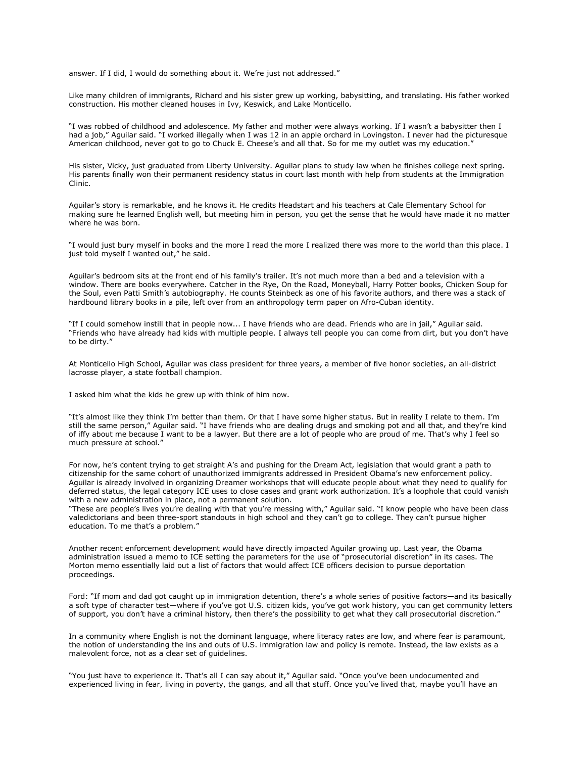answer. If I did, I would do something about it. We're just not addressed."

Like many children of immigrants, Richard and his sister grew up working, babysitting, and translating. His father worked construction. His mother cleaned houses in Ivy, Keswick, and Lake Monticello.

"I was robbed of childhood and adolescence. My father and mother were always working. If I wasn't a babysitter then I had a job," Aguilar said. "I worked illegally when I was 12 in an apple orchard in Lovingston. I never had the picturesque American childhood, never got to go to Chuck E. Cheese's and all that. So for me my outlet was my education."

His sister, Vicky, just graduated from Liberty University. Aguilar plans to study law when he finishes college next spring. His parents finally won their permanent residency status in court last month with help from students at the Immigration Clinic.

Aguilar's story is remarkable, and he knows it. He credits Headstart and his teachers at Cale Elementary School for making sure he learned English well, but meeting him in person, you get the sense that he would have made it no matter where he was born.

"I would just bury myself in books and the more I read the more I realized there was more to the world than this place. I just told myself I wanted out," he said.

Aguilar's bedroom sits at the front end of his family's trailer. It's not much more than a bed and a television with a window. There are books everywhere. Catcher in the Rye, On the Road, Moneyball, Harry Potter books, Chicken Soup for the Soul, even Patti Smith's autobiography. He counts Steinbeck as one of his favorite authors, and there was a stack of hardbound library books in a pile, left over from an anthropology term paper on Afro-Cuban identity.

"If I could somehow instill that in people now... I have friends who are dead. Friends who are in jail," Aguilar said. "Friends who have already had kids with multiple people. I always tell people you can come from dirt, but you don't have to be dirty."

At Monticello High School, Aguilar was class president for three years, a member of five honor societies, an all-district lacrosse player, a state football champion.

I asked him what the kids he grew up with think of him now.

"It's almost like they think I'm better than them. Or that I have some higher status. But in reality I relate to them. I'm still the same person," Aguilar said. "I have friends who are dealing drugs and smoking pot and all that, and they're kind of iffy about me because I want to be a lawyer. But there are a lot of people who are proud of me. That's why I feel so much pressure at school."

For now, he's content trying to get straight A's and pushing for the Dream Act, legislation that would grant a path to citizenship for the same cohort of unauthorized immigrants addressed in President Obama's new enforcement policy. Aguilar is already involved in organizing Dreamer workshops that will educate people about what they need to qualify for deferred status, the legal category ICE uses to close cases and grant work authorization. It's a loophole that could vanish with a new administration in place, not a permanent solution.

"These are people's lives you're dealing with that you're messing with," Aguilar said. "I know people who have been class valedictorians and been three-sport standouts in high school and they can't go to college. They can't pursue higher education. To me that's a problem."

Another recent enforcement development would have directly impacted Aguilar growing up. Last year, the Obama administration issued a memo to ICE setting the parameters for the use of "prosecutorial discretion" in its cases. The Morton memo essentially laid out a list of factors that would affect ICE officers decision to pursue deportation proceedings.

Ford: "If mom and dad got caught up in immigration detention, there's a whole series of positive factors—and its basically a soft type of character test—where if you've got U.S. citizen kids, you've got work history, you can get community letters of support, you don't have a criminal history, then there's the possibility to get what they call prosecutorial discretion."

In a community where English is not the dominant language, where literacy rates are low, and where fear is paramount, the notion of understanding the ins and outs of U.S. immigration law and policy is remote. Instead, the law exists as a malevolent force, not as a clear set of guidelines.

"You just have to experience it. That's all I can say about it," Aguilar said. "Once you've been undocumented and experienced living in fear, living in poverty, the gangs, and all that stuff. Once you've lived that, maybe you'll have an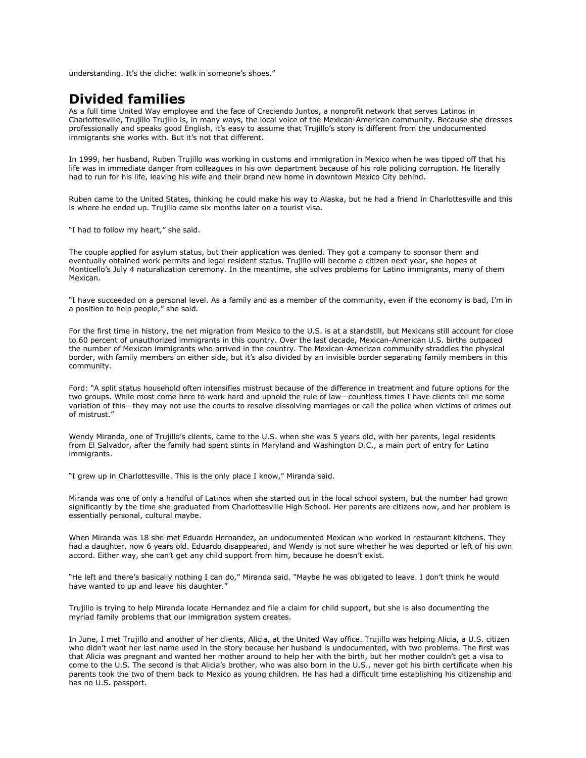understanding. It's the cliche: walk in someone's shoes."

## **Divided families**

As a full time United Way employee and the face of Creciendo Juntos, a nonprofit network that serves Latinos in Charlottesville, Trujillo Trujillo is, in many ways, the local voice of the Mexican-American community. Because she dresses professionally and speaks good English, it's easy to assume that Trujillo's story is different from the undocumented immigrants she works with. But it's not that different.

In 1999, her husband, Ruben Trujillo was working in customs and immigration in Mexico when he was tipped off that his life was in immediate danger from colleagues in his own department because of his role policing corruption. He literally had to run for his life, leaving his wife and their brand new home in downtown Mexico City behind.

Ruben came to the United States, thinking he could make his way to Alaska, but he had a friend in Charlottesville and this is where he ended up. Trujillo came six months later on a tourist visa.

"I had to follow my heart," she said.

The couple applied for asylum status, but their application was denied. They got a company to sponsor them and eventually obtained work permits and legal resident status. Trujillo will become a citizen next year, she hopes at Monticello's July 4 naturalization ceremony. In the meantime, she solves problems for Latino immigrants, many of them Mexican.

"I have succeeded on a personal level. As a family and as a member of the community, even if the economy is bad, I'm in a position to help people," she said.

For the first time in history, the net migration from Mexico to the U.S. is at a standstill, but Mexicans still account for close to 60 percent of unauthorized immigrants in this country. Over the last decade, Mexican-American U.S. births outpaced the number of Mexican immigrants who arrived in the country. The Mexican-American community straddles the physical border, with family members on either side, but it's also divided by an invisible border separating family members in this community.

Ford: "A split status household often intensifies mistrust because of the difference in treatment and future options for the two groups. While most come here to work hard and uphold the rule of law—countless times I have clients tell me some variation of this—they may not use the courts to resolve dissolving marriages or call the police when victims of crimes out of mistrust."

Wendy Miranda, one of Trujillo's clients, came to the U.S. when she was 5 years old, with her parents, legal residents from El Salvador, after the family had spent stints in Maryland and Washington D.C., a main port of entry for Latino immigrants.

"I grew up in Charlottesville. This is the only place I know," Miranda said.

Miranda was one of only a handful of Latinos when she started out in the local school system, but the number had grown significantly by the time she graduated from Charlottesville High School. Her parents are citizens now, and her problem is essentially personal, cultural maybe.

When Miranda was 18 she met Eduardo Hernandez, an undocumented Mexican who worked in restaurant kitchens. They had a daughter, now 6 years old. Eduardo disappeared, and Wendy is not sure whether he was deported or left of his own accord. Either way, she can't get any child support from him, because he doesn't exist.

"He left and there's basically nothing I can do," Miranda said. "Maybe he was obligated to leave. I don't think he would have wanted to up and leave his daughter."

Trujillo is trying to help Miranda locate Hernandez and file a claim for child support, but she is also documenting the myriad family problems that our immigration system creates.

In June, I met Trujillo and another of her clients, Alicia, at the United Way office. Trujillo was helping Alicia, a U.S. citizen who didn't want her last name used in the story because her husband is undocumented, with two problems. The first was that Alicia was pregnant and wanted her mother around to help her with the birth, but her mother couldn't get a visa to come to the U.S. The second is that Alicia's brother, who was also born in the U.S., never got his birth certificate when his parents took the two of them back to Mexico as young children. He has had a difficult time establishing his citizenship and has no U.S. passport.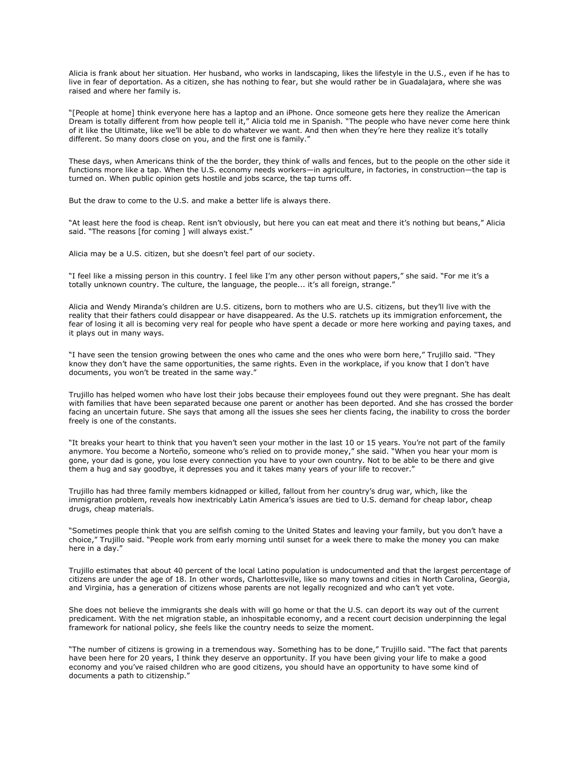Alicia is frank about her situation. Her husband, who works in landscaping, likes the lifestyle in the U.S., even if he has to live in fear of deportation. As a citizen, she has nothing to fear, but she would rather be in Guadalajara, where she was raised and where her family is.

"[People at home] think everyone here has a laptop and an iPhone. Once someone gets here they realize the American Dream is totally different from how people tell it," Alicia told me in Spanish. "The people who have never come here think of it like the Ultimate, like we'll be able to do whatever we want. And then when they're here they realize it's totally different. So many doors close on you, and the first one is family."

These days, when Americans think of the the border, they think of walls and fences, but to the people on the other side it functions more like a tap. When the U.S. economy needs workers—in agriculture, in factories, in construction—the tap is turned on. When public opinion gets hostile and jobs scarce, the tap turns off.

But the draw to come to the U.S. and make a better life is always there.

"At least here the food is cheap. Rent isn't obviously, but here you can eat meat and there it's nothing but beans," Alicia said. "The reasons [for coming ] will always exist."

Alicia may be a U.S. citizen, but she doesn't feel part of our society.

"I feel like a missing person in this country. I feel like I'm any other person without papers," she said. "For me it's a totally unknown country. The culture, the language, the people... it's all foreign, strange."

Alicia and Wendy Miranda's children are U.S. citizens, born to mothers who are U.S. citizens, but they'll live with the reality that their fathers could disappear or have disappeared. As the U.S. ratchets up its immigration enforcement, the fear of losing it all is becoming very real for people who have spent a decade or more here working and paying taxes, and it plays out in many ways.

"I have seen the tension growing between the ones who came and the ones who were born here," Trujillo said. "They know they don't have the same opportunities, the same rights. Even in the workplace, if you know that I don't have documents, you won't be treated in the same way."

Trujillo has helped women who have lost their jobs because their employees found out they were pregnant. She has dealt with families that have been separated because one parent or another has been deported. And she has crossed the border facing an uncertain future. She says that among all the issues she sees her clients facing, the inability to cross the border freely is one of the constants.

"It breaks your heart to think that you haven't seen your mother in the last 10 or 15 years. You're not part of the family anymore. You become a Norteño, someone who's relied on to provide money," she said. "When you hear your mom is gone, your dad is gone, you lose every connection you have to your own country. Not to be able to be there and give them a hug and say goodbye, it depresses you and it takes many years of your life to recover."

Trujillo has had three family members kidnapped or killed, fallout from her country's drug war, which, like the immigration problem, reveals how inextricably Latin America's issues are tied to U.S. demand for cheap labor, cheap drugs, cheap materials.

"Sometimes people think that you are selfish coming to the United States and leaving your family, but you don't have a choice," Trujillo said. "People work from early morning until sunset for a week there to make the money you can make here in a day."

Trujillo estimates that about 40 percent of the local Latino population is undocumented and that the largest percentage of citizens are under the age of 18. In other words, Charlottesville, like so many towns and cities in North Carolina, Georgia, and Virginia, has a generation of citizens whose parents are not legally recognized and who can't yet vote.

She does not believe the immigrants she deals with will go home or that the U.S. can deport its way out of the current predicament. With the net migration stable, an inhospitable economy, and a recent court decision underpinning the legal framework for national policy, she feels like the country needs to seize the moment.

"The number of citizens is growing in a tremendous way. Something has to be done," Trujillo said. "The fact that parents have been here for 20 years, I think they deserve an opportunity. If you have been giving your life to make a good economy and you've raised children who are good citizens, you should have an opportunity to have some kind of documents a path to citizenship."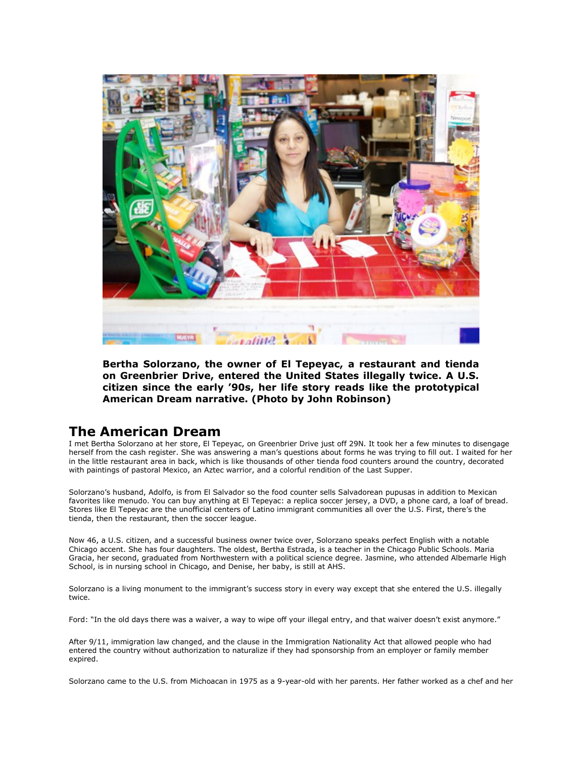

**Bertha Solorzano, the owner of El Tepeyac, a restaurant and tienda on Greenbrier Drive, entered the United States illegally twice. A U.S. citizen since the early '90s, her life story reads like the prototypical American Dream narrative. (Photo by John Robinson)**

## **The American Dream**

I met Bertha Solorzano at her store, El Tepeyac, on Greenbrier Drive just off 29N. It took her a few minutes to disengage herself from the cash register. She was answering a man's questions about forms he was trying to fill out. I waited for her in the little restaurant area in back, which is like thousands of other tienda food counters around the country, decorated with paintings of pastoral Mexico, an Aztec warrior, and a colorful rendition of the Last Supper.

Solorzano's husband, Adolfo, is from El Salvador so the food counter sells Salvadorean pupusas in addition to Mexican favorites like menudo. You can buy anything at El Tepeyac: a replica soccer jersey, a DVD, a phone card, a loaf of bread. Stores like El Tepeyac are the unofficial centers of Latino immigrant communities all over the U.S. First, there's the tienda, then the restaurant, then the soccer league.

Now 46, a U.S. citizen, and a successful business owner twice over, Solorzano speaks perfect English with a notable Chicago accent. She has four daughters. The oldest, Bertha Estrada, is a teacher in the Chicago Public Schools. Maria Gracia, her second, graduated from Northwestern with a political science degree. Jasmine, who attended Albemarle High School, is in nursing school in Chicago, and Denise, her baby, is still at AHS.

Solorzano is a living monument to the immigrant's success story in every way except that she entered the U.S. illegally twice.

Ford: "In the old days there was a waiver, a way to wipe off your illegal entry, and that waiver doesn't exist anymore."

After 9/11, immigration law changed, and the clause in the Immigration Nationality Act that allowed people who had entered the country without authorization to naturalize if they had sponsorship from an employer or family member expired.

Solorzano came to the U.S. from Michoacan in 1975 as a 9-year-old with her parents. Her father worked as a chef and her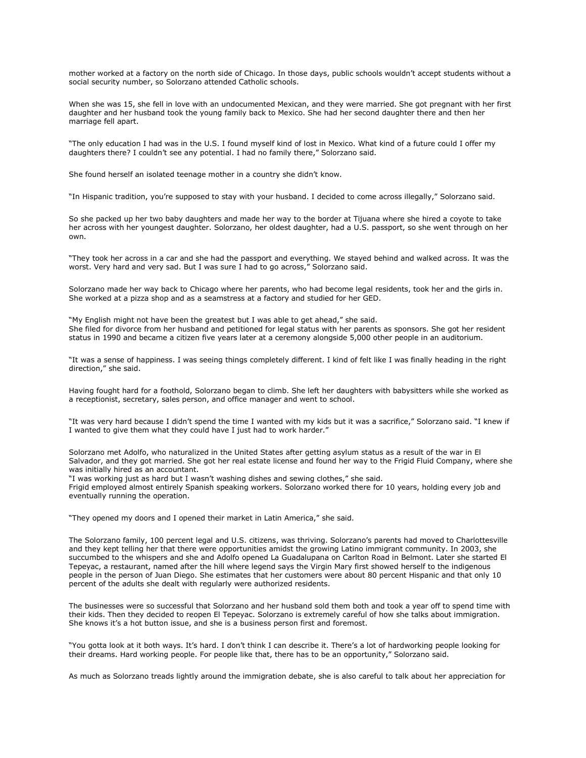mother worked at a factory on the north side of Chicago. In those days, public schools wouldn't accept students without a social security number, so Solorzano attended Catholic schools.

When she was 15, she fell in love with an undocumented Mexican, and they were married. She got pregnant with her first daughter and her husband took the young family back to Mexico. She had her second daughter there and then her marriage fell apart.

"The only education I had was in the U.S. I found myself kind of lost in Mexico. What kind of a future could I offer my daughters there? I couldn't see any potential. I had no family there," Solorzano said.

She found herself an isolated teenage mother in a country she didn't know.

"In Hispanic tradition, you're supposed to stay with your husband. I decided to come across illegally," Solorzano said.

So she packed up her two baby daughters and made her way to the border at Tijuana where she hired a coyote to take her across with her youngest daughter. Solorzano, her oldest daughter, had a U.S. passport, so she went through on her own.

"They took her across in a car and she had the passport and everything. We stayed behind and walked across. It was the worst. Very hard and very sad. But I was sure I had to go across," Solorzano said.

Solorzano made her way back to Chicago where her parents, who had become legal residents, took her and the girls in. She worked at a pizza shop and as a seamstress at a factory and studied for her GED.

"My English might not have been the greatest but I was able to get ahead," she said. She filed for divorce from her husband and petitioned for legal status with her parents as sponsors. She got her resident status in 1990 and became a citizen five years later at a ceremony alongside 5,000 other people in an auditorium.

"It was a sense of happiness. I was seeing things completely different. I kind of felt like I was finally heading in the right direction," she said.

Having fought hard for a foothold, Solorzano began to climb. She left her daughters with babysitters while she worked as a receptionist, secretary, sales person, and office manager and went to school.

"It was very hard because I didn't spend the time I wanted with my kids but it was a sacrifice," Solorzano said. "I knew if I wanted to give them what they could have I just had to work harder."

Solorzano met Adolfo, who naturalized in the United States after getting asylum status as a result of the war in El Salvador, and they got married. She got her real estate license and found her way to the Frigid Fluid Company, where she was initially hired as an accountant.

"I was working just as hard but I wasn't washing dishes and sewing clothes," she said.

Frigid employed almost entirely Spanish speaking workers. Solorzano worked there for 10 years, holding every job and eventually running the operation.

"They opened my doors and I opened their market in Latin America," she said.

The Solorzano family, 100 percent legal and U.S. citizens, was thriving. Solorzano's parents had moved to Charlottesville and they kept telling her that there were opportunities amidst the growing Latino immigrant community. In 2003, she succumbed to the whispers and she and Adolfo opened La Guadalupana on Carlton Road in Belmont. Later she started El Tepeyac, a restaurant, named after the hill where legend says the Virgin Mary first showed herself to the indigenous people in the person of Juan Diego. She estimates that her customers were about 80 percent Hispanic and that only 10 percent of the adults she dealt with regularly were authorized residents.

The businesses were so successful that Solorzano and her husband sold them both and took a year off to spend time with their kids. Then they decided to reopen El Tepeyac. Solorzano is extremely careful of how she talks about immigration. She knows it's a hot button issue, and she is a business person first and foremost.

"You gotta look at it both ways. It's hard. I don't think I can describe it. There's a lot of hardworking people looking for their dreams. Hard working people. For people like that, there has to be an opportunity," Solorzano said.

As much as Solorzano treads lightly around the immigration debate, she is also careful to talk about her appreciation for